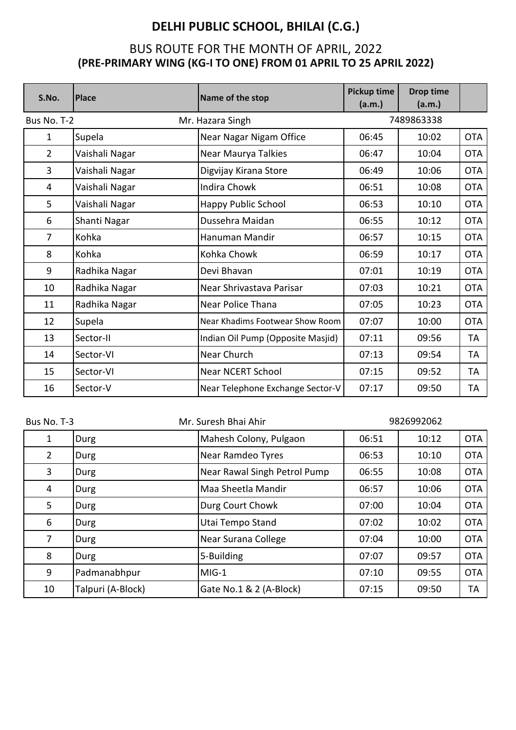| S.No.          | <b>Place</b>   | Name of the stop                  | <b>Pickup time</b><br>(a.m.) | <b>Drop time</b><br>(a.m.) |            |
|----------------|----------------|-----------------------------------|------------------------------|----------------------------|------------|
| Bus No. T-2    |                | Mr. Hazara Singh                  |                              | 7489863338                 |            |
| $\mathbf{1}$   | Supela         | Near Nagar Nigam Office           | 06:45                        | 10:02                      | <b>OTA</b> |
| $\overline{2}$ | Vaishali Nagar | Near Maurya Talkies               | 06:47                        | 10:04                      | <b>OTA</b> |
| 3              | Vaishali Nagar | Digvijay Kirana Store             | 06:49                        | 10:06                      | <b>OTA</b> |
| 4              | Vaishali Nagar | <b>Indira Chowk</b>               | 06:51                        | 10:08                      | <b>OTA</b> |
| 5              | Vaishali Nagar | <b>Happy Public School</b>        | 06:53                        | 10:10                      | <b>OTA</b> |
| 6              | Shanti Nagar   | Dussehra Maidan                   | 06:55                        | 10:12                      | <b>OTA</b> |
| $\overline{7}$ | Kohka          | Hanuman Mandir                    | 06:57                        | 10:15                      | <b>OTA</b> |
| 8              | Kohka          | Kohka Chowk                       | 06:59                        | 10:17                      | <b>OTA</b> |
| 9              | Radhika Nagar  | Devi Bhavan                       | 07:01                        | 10:19                      | <b>OTA</b> |
| 10             | Radhika Nagar  | Near Shrivastava Parisar          | 07:03                        | 10:21                      | <b>OTA</b> |
| 11             | Radhika Nagar  | <b>Near Police Thana</b>          | 07:05                        | 10:23                      | <b>OTA</b> |
| 12             | Supela         | Near Khadims Footwear Show Room   | 07:07                        | 10:00                      | <b>OTA</b> |
| 13             | Sector-II      | Indian Oil Pump (Opposite Masjid) | 07:11                        | 09:56                      | TA         |
| 14             | Sector-VI      | Near Church                       | 07:13                        | 09:54                      | TA         |
| 15             | Sector-VI      | <b>Near NCERT School</b>          | 07:15                        | 09:52                      | TA         |
| 16             | Sector-V       | Near Telephone Exchange Sector-V  | 07:17                        | 09:50                      | TA         |

| Bus No. T-3    |                   | Mr. Suresh Bhai Ahir         | 9826992062 |       |            |
|----------------|-------------------|------------------------------|------------|-------|------------|
| 1              | Durg              | Mahesh Colony, Pulgaon       | 06:51      | 10:12 | <b>OTA</b> |
| $\overline{2}$ | Durg              | Near Ramdeo Tyres            | 06:53      | 10:10 | <b>OTA</b> |
| 3              | Durg              | Near Rawal Singh Petrol Pump | 06:55      | 10:08 | <b>OTA</b> |
| 4              | Durg              | lMaa Sheetla Mandir          | 06:57      | 10:06 | <b>OTA</b> |
| 5              | Durg              | Durg Court Chowk             | 07:00      | 10:04 | <b>OTA</b> |
| 6              | Durg              | Utai Tempo Stand             | 07:02      | 10:02 | <b>OTA</b> |
| $\overline{7}$ | Durg              | Near Surana College          | 07:04      | 10:00 | <b>OTA</b> |
| 8              | Durg              | 5-Building                   | 07:07      | 09:57 | <b>OTA</b> |
| 9              | Padmanabhpur      | MIG-1                        | 07:10      | 09:55 | <b>OTA</b> |
| 10             | Talpuri (A-Block) | Gate No.1 & 2 (A-Block)      | 07:15      | 09:50 | TA         |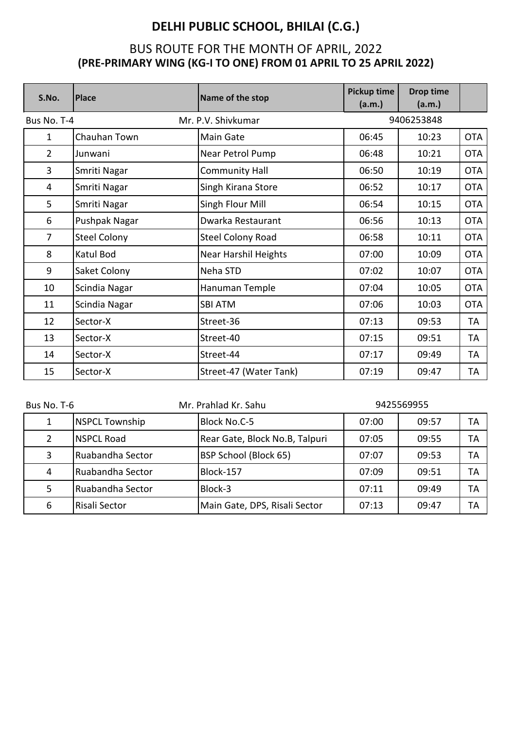| S.No.          | <b>Place</b>        | Name of the stop            | Pickup time<br>(a.m.) | <b>Drop time</b><br>(a.m.) |            |
|----------------|---------------------|-----------------------------|-----------------------|----------------------------|------------|
| Bus No. T-4    |                     | Mr. P.V. Shivkumar          |                       | 9406253848                 |            |
| $\mathbf{1}$   | Chauhan Town        | Main Gate                   | 06:45                 | 10:23                      | <b>OTA</b> |
| $\overline{2}$ | Junwani             | Near Petrol Pump            | 06:48                 | 10:21                      | <b>OTA</b> |
| 3              | Smriti Nagar        | Community Hall              | 06:50                 | 10:19                      | <b>OTA</b> |
| 4              | Smriti Nagar        | Singh Kirana Store          | 06:52                 | 10:17                      | <b>OTA</b> |
| 5              | Smriti Nagar        | Singh Flour Mill            | 06:54                 | 10:15                      | <b>OTA</b> |
| 6              | Pushpak Nagar       | Dwarka Restaurant           | 06:56                 | 10:13                      | <b>OTA</b> |
| $\overline{7}$ | <b>Steel Colony</b> | <b>Steel Colony Road</b>    | 06:58                 | 10:11                      | <b>OTA</b> |
| 8              | Katul Bod           | <b>Near Harshil Heights</b> | 07:00                 | 10:09                      | <b>OTA</b> |
| 9              | Saket Colony        | Neha STD                    | 07:02                 | 10:07                      | <b>OTA</b> |
| 10             | Scindia Nagar       | Hanuman Temple              | 07:04                 | 10:05                      | <b>OTA</b> |
| 11             | Scindia Nagar       | <b>SBI ATM</b>              | 07:06                 | 10:03                      | <b>OTA</b> |
| 12             | Sector-X            | Street-36                   | 07:13                 | 09:53                      | TA         |
| 13             | Sector-X            | Street-40                   | 07:15                 | 09:51                      | <b>TA</b>  |
| 14             | Sector-X            | Street-44                   | 07:17                 | 09:49                      | TA         |
| 15             | Sector-X            | Street-47 (Water Tank)      | 07:19                 | 09:47                      | <b>TA</b>  |

| Bus No. T-6 |                       | Mr. Prahlad Kr. Sahu           | 9425569955 |       |    |
|-------------|-----------------------|--------------------------------|------------|-------|----|
| 1           | <b>NSPCL Township</b> | Block No.C-5                   | 07:00      | 09:57 | TA |
|             | <b>NSPCL Road</b>     | Rear Gate, Block No.B, Talpuri | 07:05      | 09:55 | TA |
| 3           | Ruabandha Sector      | BSP School (Block 65)          | 07:07      | 09:53 | ТA |
| 4           | Ruabandha Sector      | Block-157                      | 07:09      | 09:51 | ТA |
|             | Ruabandha Sector      | Block-3                        | 07:11      | 09:49 | TA |
| 6           | Risali Sector         | Main Gate, DPS, Risali Sector  | 07:13      | 09:47 | ТA |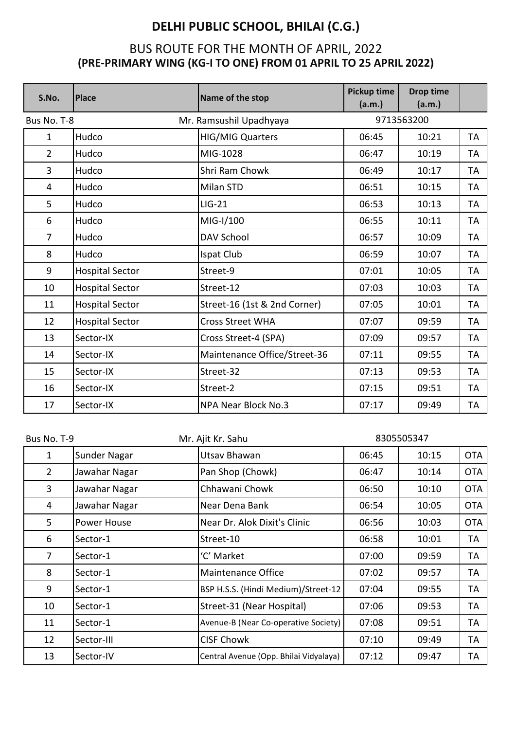| S.No.          | <b>Place</b>           | Name of the stop             | Pickup time<br>(a.m.) | <b>Drop time</b><br>(a.m.) |           |
|----------------|------------------------|------------------------------|-----------------------|----------------------------|-----------|
| Bus No. T-8    |                        | Mr. Ramsushil Upadhyaya      |                       | 9713563200                 |           |
| $\mathbf{1}$   | Hudco                  | <b>HIG/MIG Quarters</b>      | 06:45                 | 10:21                      | <b>TA</b> |
| $\overline{2}$ | Hudco                  | MIG-1028                     | 06:47                 | 10:19                      | TA        |
| 3              | Hudco                  | <b>Shri Ram Chowk</b>        | 06:49                 | 10:17                      | <b>TA</b> |
| 4              | Hudco                  | Milan STD                    | 06:51                 | 10:15                      | TA        |
| 5              | Hudco                  | $LIG-21$                     | 06:53                 | 10:13                      | TA        |
| 6              | Hudco                  | MIG-I/100                    | 06:55                 | 10:11                      | TA        |
| $\overline{7}$ | Hudco                  | <b>DAV School</b>            | 06:57                 | 10:09                      | TA        |
| 8              | Hudco                  | Ispat Club                   | 06:59                 | 10:07                      | TA        |
| 9              | <b>Hospital Sector</b> | Street-9                     | 07:01                 | 10:05                      | TA        |
| 10             | <b>Hospital Sector</b> | Street-12                    | 07:03                 | 10:03                      | TA        |
| 11             | <b>Hospital Sector</b> | Street-16 (1st & 2nd Corner) | 07:05                 | 10:01                      | TA        |
| 12             | <b>Hospital Sector</b> | <b>Cross Street WHA</b>      | 07:07                 | 09:59                      | TA        |
| 13             | Sector-IX              | Cross Street-4 (SPA)         | 07:09                 | 09:57                      | TA        |
| 14             | Sector-IX              | Maintenance Office/Street-36 | 07:11                 | 09:55                      | TA        |
| 15             | Sector-IX              | Street-32                    | 07:13                 | 09:53                      | <b>TA</b> |
| 16             | Sector-IX              | Street-2                     | 07:15                 | 09:51                      | TA        |
| 17             | Sector-IX              | <b>NPA Near Block No.3</b>   | 07:17                 | 09:49                      | TA        |

| Bus No. T-9    |               | Mr. Ajit Kr. Sahu                      | 8305505347 |       |            |
|----------------|---------------|----------------------------------------|------------|-------|------------|
| 1              | Sunder Nagar  | Utsav Bhawan                           | 06:45      | 10:15 | <b>OTA</b> |
| $\overline{2}$ | Jawahar Nagar | Pan Shop (Chowk)                       | 06:47      | 10:14 | <b>OTA</b> |
| 3              | Jawahar Nagar | Chhawani Chowk                         | 06:50      | 10:10 | <b>OTA</b> |
| 4              | Jawahar Nagar | Near Dena Bank                         | 06:54      | 10:05 | <b>OTA</b> |
| 5              | Power House   | Near Dr. Alok Dixit's Clinic           | 06:56      | 10:03 | <b>OTA</b> |
| 6              | Sector-1      | Street-10                              | 06:58      | 10:01 | TA         |
| 7              | Sector-1      | 'C' Market                             | 07:00      | 09:59 | TA         |
| 8              | Sector-1      | <b>Maintenance Office</b>              | 07:02      | 09:57 | TA         |
| 9              | Sector-1      | BSP H.S.S. (Hindi Medium)/Street-12    | 07:04      | 09:55 | TA         |
| 10             | Sector-1      | Street-31 (Near Hospital)              | 07:06      | 09:53 | TA         |
| 11             | Sector-1      | Avenue-B (Near Co-operative Society)   | 07:08      | 09:51 | TA         |
| 12             | Sector-III    | <b>CISF Chowk</b>                      | 07:10      | 09:49 | TA         |
| 13             | Sector-IV     | Central Avenue (Opp. Bhilai Vidyalaya) | 07:12      | 09:47 | TA         |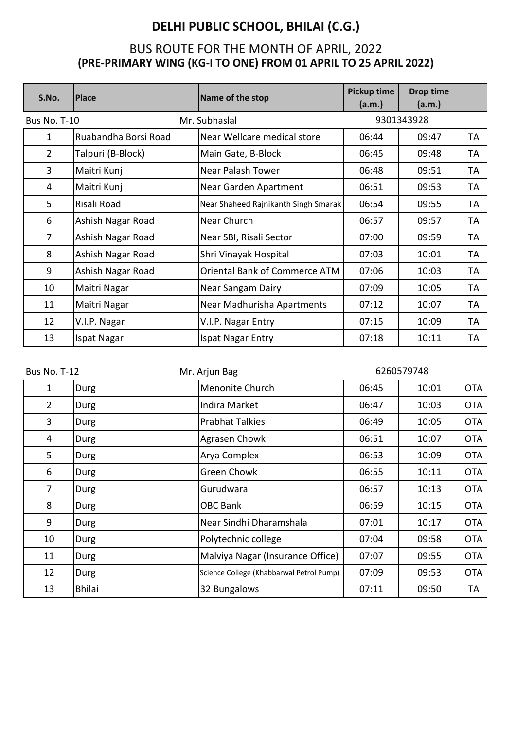| S.No.               | <b>Place</b>         | Name of the stop                     | <b>Pickup time</b><br>(a.m.) | <b>Drop time</b><br>(a.m.) |    |
|---------------------|----------------------|--------------------------------------|------------------------------|----------------------------|----|
| <b>Bus No. T-10</b> |                      | Mr. Subhaslal                        |                              | 9301343928                 |    |
| $\mathbf{1}$        | Ruabandha Borsi Road | Near Wellcare medical store          | 06:44                        | 09:47                      | TA |
| $\overline{2}$      | Talpuri (B-Block)    | Main Gate, B-Block                   | 06:45                        | 09:48                      | TA |
| 3                   | Maitri Kunj          | Near Palash Tower                    | 06:48                        | 09:51                      | TA |
| 4                   | Maitri Kunj          | Near Garden Apartment                | 06:51                        | 09:53                      | TA |
| 5                   | Risali Road          | Near Shaheed Rajnikanth Singh Smarak | 06:54                        | 09:55                      | TA |
| 6                   | Ashish Nagar Road    | Near Church                          | 06:57                        | 09:57                      | TA |
| $\overline{7}$      | Ashish Nagar Road    | Near SBI, Risali Sector              | 07:00                        | 09:59                      | TA |
| 8                   | Ashish Nagar Road    | Shri Vinayak Hospital                | 07:03                        | 10:01                      | TA |
| 9                   | Ashish Nagar Road    | <b>Oriental Bank of Commerce ATM</b> | 07:06                        | 10:03                      | TA |
| 10                  | Maitri Nagar         | Near Sangam Dairy                    | 07:09                        | 10:05                      | TA |
| 11                  | Maitri Nagar         | Near Madhurisha Apartments           | 07:12                        | 10:07                      | TA |
| 12                  | V.I.P. Nagar         | V.I.P. Nagar Entry                   | 07:15                        | 10:09                      | TA |
| 13                  | Ispat Nagar          | Ispat Nagar Entry                    | 07:18                        | 10:11                      | TA |

| <b>Bus No. T-12</b> |               | Mr. Arjun Bag                            |       | 6260579748 |            |
|---------------------|---------------|------------------------------------------|-------|------------|------------|
| $\mathbf{1}$        | Durg          | Menonite Church                          | 06:45 | 10:01      | <b>OTA</b> |
| $\overline{2}$      | Durg          | Indira Market                            | 06:47 | 10:03      | <b>OTA</b> |
| 3                   | Durg          | <b>Prabhat Talkies</b>                   | 06:49 | 10:05      | <b>OTA</b> |
| 4                   | Durg          | Agrasen Chowk                            | 06:51 | 10:07      | <b>OTA</b> |
| 5                   | Durg          | Arya Complex                             | 06:53 | 10:09      | <b>OTA</b> |
| 6                   | Durg          | Green Chowk                              | 06:55 | 10:11      | <b>OTA</b> |
| $\overline{7}$      | Durg          | Gurudwara                                | 06:57 | 10:13      | <b>OTA</b> |
| 8                   | Durg          | <b>OBC Bank</b>                          | 06:59 | 10:15      | <b>OTA</b> |
| 9                   | Durg          | Near Sindhi Dharamshala                  | 07:01 | 10:17      | <b>OTA</b> |
| 10                  | Durg          | Polytechnic college                      | 07:04 | 09:58      | <b>OTA</b> |
| 11                  | Durg          | Malviya Nagar (Insurance Office)         | 07:07 | 09:55      | <b>OTA</b> |
| 12                  | Durg          | Science College (Khabbarwal Petrol Pump) | 07:09 | 09:53      | <b>OTA</b> |
| 13                  | <b>Bhilai</b> | 32 Bungalows                             | 07:11 | 09:50      | TA         |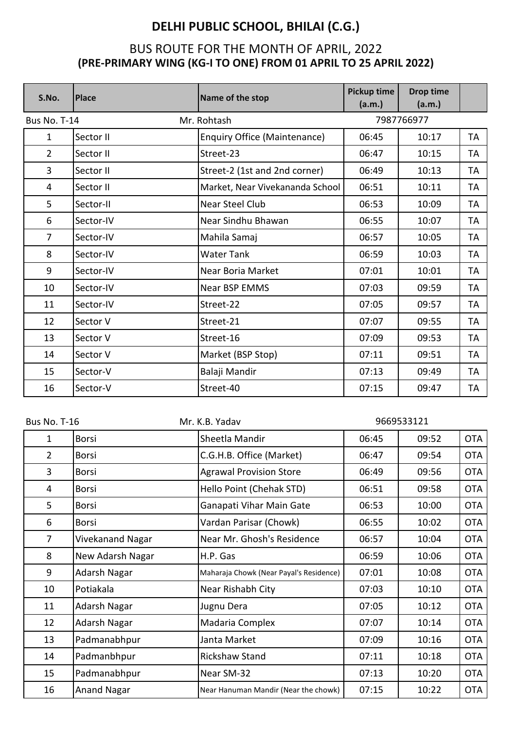| S.No.               | <b>Place</b> | Name of the stop                | Pickup time<br>(a.m.) | <b>Drop time</b><br>(a.m.) |           |
|---------------------|--------------|---------------------------------|-----------------------|----------------------------|-----------|
| <b>Bus No. T-14</b> |              | Mr. Rohtash                     |                       | 7987766977                 |           |
| $\mathbf{1}$        | Sector II    | Enquiry Office (Maintenance)    | 06:45                 | 10:17                      | TA        |
| $\overline{2}$      | Sector II    | Street-23                       | 06:47                 | 10:15                      | TA        |
| $\overline{3}$      | Sector II    | Street-2 (1st and 2nd corner)   | 06:49                 | 10:13                      | TA        |
| $\overline{4}$      | Sector II    | Market, Near Vivekananda School | 06:51                 | 10:11                      | TA        |
| 5                   | Sector-II    | Near Steel Club                 | 06:53                 | 10:09                      | TA        |
| 6                   | Sector-IV    | Near Sindhu Bhawan              | 06:55                 | 10:07                      | TA        |
| $\overline{7}$      | Sector-IV    | Mahila Samaj                    | 06:57                 | 10:05                      | TA        |
| 8                   | Sector-IV    | <b>Water Tank</b>               | 06:59                 | 10:03                      | TA        |
| 9                   | Sector-IV    | Near Boria Market               | 07:01                 | 10:01                      | <b>TA</b> |
| 10                  | Sector-IV    | <b>Near BSP EMMS</b>            | 07:03                 | 09:59                      | TA        |
| 11                  | Sector-IV    | Street-22                       | 07:05                 | 09:57                      | TA        |
| 12                  | Sector V     | Street-21                       | 07:07                 | 09:55                      | TA        |
| 13                  | Sector V     | Street-16                       | 07:09                 | 09:53                      | TA        |
| 14                  | Sector V     | Market (BSP Stop)               | 07:11                 | 09:51                      | TA        |
| 15                  | Sector-V     | Balaji Mandir                   | 07:13                 | 09:49                      | TA        |
| 16                  | Sector-V     | Street-40                       | 07:15                 | 09:47                      | TA        |

| <b>Bus No. T-16</b> |                    | Mr. K.B. Yadav                          |       | 9669533121 |            |
|---------------------|--------------------|-----------------------------------------|-------|------------|------------|
| $\mathbf{1}$        | <b>Borsi</b>       | Sheetla Mandir                          | 06:45 | 09:52      | <b>OTA</b> |
| $\overline{2}$      | <b>Borsi</b>       | C.G.H.B. Office (Market)                | 06:47 | 09:54      | <b>OTA</b> |
| 3                   | <b>Borsi</b>       | <b>Agrawal Provision Store</b>          | 06:49 | 09:56      | <b>OTA</b> |
| 4                   | <b>Borsi</b>       | Hello Point (Chehak STD)                | 06:51 | 09:58      | <b>OTA</b> |
| 5                   | <b>Borsi</b>       | Ganapati Vihar Main Gate                | 06:53 | 10:00      | <b>OTA</b> |
| 6                   | <b>Borsi</b>       | Vardan Parisar (Chowk)                  | 06:55 | 10:02      | <b>OTA</b> |
| 7                   | Vivekanand Nagar   | Near Mr. Ghosh's Residence              | 06:57 | 10:04      | <b>OTA</b> |
| 8                   | New Adarsh Nagar   | H.P. Gas                                | 06:59 | 10:06      | <b>OTA</b> |
| 9                   | Adarsh Nagar       | Maharaja Chowk (Near Payal's Residence) | 07:01 | 10:08      | <b>OTA</b> |
| 10                  | Potiakala          | Near Rishabh City                       | 07:03 | 10:10      | <b>OTA</b> |
| 11                  | Adarsh Nagar       | Jugnu Dera                              | 07:05 | 10:12      | <b>OTA</b> |
| 12                  | Adarsh Nagar       | Madaria Complex                         | 07:07 | 10:14      | <b>OTA</b> |
| 13                  | Padmanabhpur       | Janta Market                            | 07:09 | 10:16      | <b>OTA</b> |
| 14                  | Padmanbhpur        | <b>Rickshaw Stand</b>                   | 07:11 | 10:18      | <b>OTA</b> |
| 15                  | Padmanabhpur       | Near SM-32                              | 07:13 | 10:20      | <b>OTA</b> |
| 16                  | <b>Anand Nagar</b> | Near Hanuman Mandir (Near the chowk)    | 07:15 | 10:22      | <b>OTA</b> |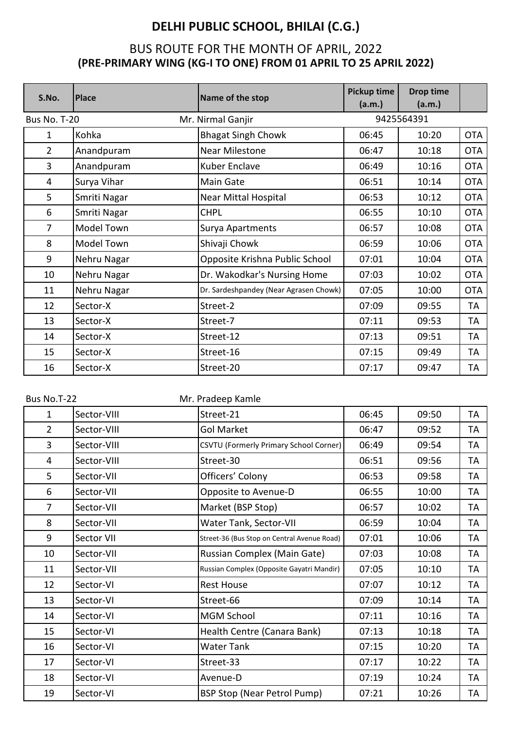| S.No.               | <b>Place</b>      | Name of the stop                       | <b>Pickup time</b><br>(a.m.) | <b>Drop time</b><br>(a.m.) |            |
|---------------------|-------------------|----------------------------------------|------------------------------|----------------------------|------------|
| <b>Bus No. T-20</b> |                   | Mr. Nirmal Ganjir                      |                              | 9425564391                 |            |
| $\mathbf{1}$        | Kohka             | <b>Bhagat Singh Chowk</b>              | 06:45                        | 10:20                      | <b>OTA</b> |
| $\overline{2}$      | Anandpuram        | <b>Near Milestone</b>                  | 06:47                        | 10:18                      | <b>OTA</b> |
| 3                   | Anandpuram        | Kuber Enclave                          | 06:49                        | 10:16                      | <b>OTA</b> |
| 4                   | Surya Vihar       | Main Gate                              | 06:51                        | 10:14                      | <b>OTA</b> |
| 5                   | Smriti Nagar      | <b>Near Mittal Hospital</b>            | 06:53                        | 10:12                      | <b>OTA</b> |
| 6                   | Smriti Nagar      | <b>CHPL</b>                            | 06:55                        | 10:10                      | <b>OTA</b> |
| 7                   | Model Town        | Surya Apartments                       | 06:57                        | 10:08                      | <b>OTA</b> |
| 8                   | <b>Model Town</b> | Shivaji Chowk                          | 06:59                        | 10:06                      | <b>OTA</b> |
| 9                   | Nehru Nagar       | Opposite Krishna Public School         | 07:01                        | 10:04                      | <b>OTA</b> |
| 10                  | Nehru Nagar       | Dr. Wakodkar's Nursing Home            | 07:03                        | 10:02                      | <b>OTA</b> |
| 11                  | Nehru Nagar       | Dr. Sardeshpandey (Near Agrasen Chowk) | 07:05                        | 10:00                      | <b>OTA</b> |
| 12                  | Sector-X          | Street-2                               | 07:09                        | 09:55                      | TA         |
| 13                  | Sector-X          | Street-7                               | 07:11                        | 09:53                      | TA         |
| 14                  | Sector-X          | Street-12                              | 07:13                        | 09:51                      | TA         |
| 15                  | Sector-X          | Street-16                              | 07:15                        | 09:49                      | TA         |
| 16                  | Sector-X          | Street-20                              | 07:17                        | 09:47                      | TA         |
|                     |                   |                                        |                              |                            |            |

| Bus No.T-22    |             | Mr. Pradeep Kamle                           |       |       |           |
|----------------|-------------|---------------------------------------------|-------|-------|-----------|
| $\mathbf{1}$   | Sector-VIII | Street-21                                   | 06:45 | 09:50 | <b>TA</b> |
| $\overline{2}$ | Sector-VIII | Gol Market                                  | 06:47 | 09:52 | TA        |
| 3              | Sector-VIII | CSVTU (Formerly Primary School Corner)      | 06:49 | 09:54 | TA        |
| 4              | Sector-VIII | Street-30                                   | 06:51 | 09:56 | TA        |
| 5              | Sector-VII  | Officers' Colony                            | 06:53 | 09:58 | TA        |
| 6              | Sector-VII  | Opposite to Avenue-D                        | 06:55 | 10:00 | TA        |
| $\overline{7}$ | Sector-VII  | Market (BSP Stop)                           | 06:57 | 10:02 | TA        |
| 8              | Sector-VII  | Water Tank, Sector-VII                      | 06:59 | 10:04 | TA        |
| 9              | Sector VII  | Street-36 (Bus Stop on Central Avenue Road) | 07:01 | 10:06 | TA        |
| 10             | Sector-VII  | Russian Complex (Main Gate)                 | 07:03 | 10:08 | TA        |
| 11             | Sector-VII  | Russian Complex (Opposite Gayatri Mandir)   | 07:05 | 10:10 | TA        |
| 12             | Sector-VI   | <b>Rest House</b>                           | 07:07 | 10:12 | TA        |
| 13             | Sector-VI   | Street-66                                   | 07:09 | 10:14 | TA        |
| 14             | Sector-VI   | <b>MGM School</b>                           | 07:11 | 10:16 | TA        |
| 15             | Sector-VI   | Health Centre (Canara Bank)                 | 07:13 | 10:18 | TA        |
| 16             | Sector-VI   | <b>Water Tank</b>                           | 07:15 | 10:20 | TA        |
| 17             | Sector-VI   | Street-33                                   | 07:17 | 10:22 | TA        |
| 18             | Sector-VI   | Avenue-D                                    | 07:19 | 10:24 | TA        |
| 19             | Sector-VI   | <b>BSP Stop (Near Petrol Pump)</b>          | 07:21 | 10:26 | TA        |